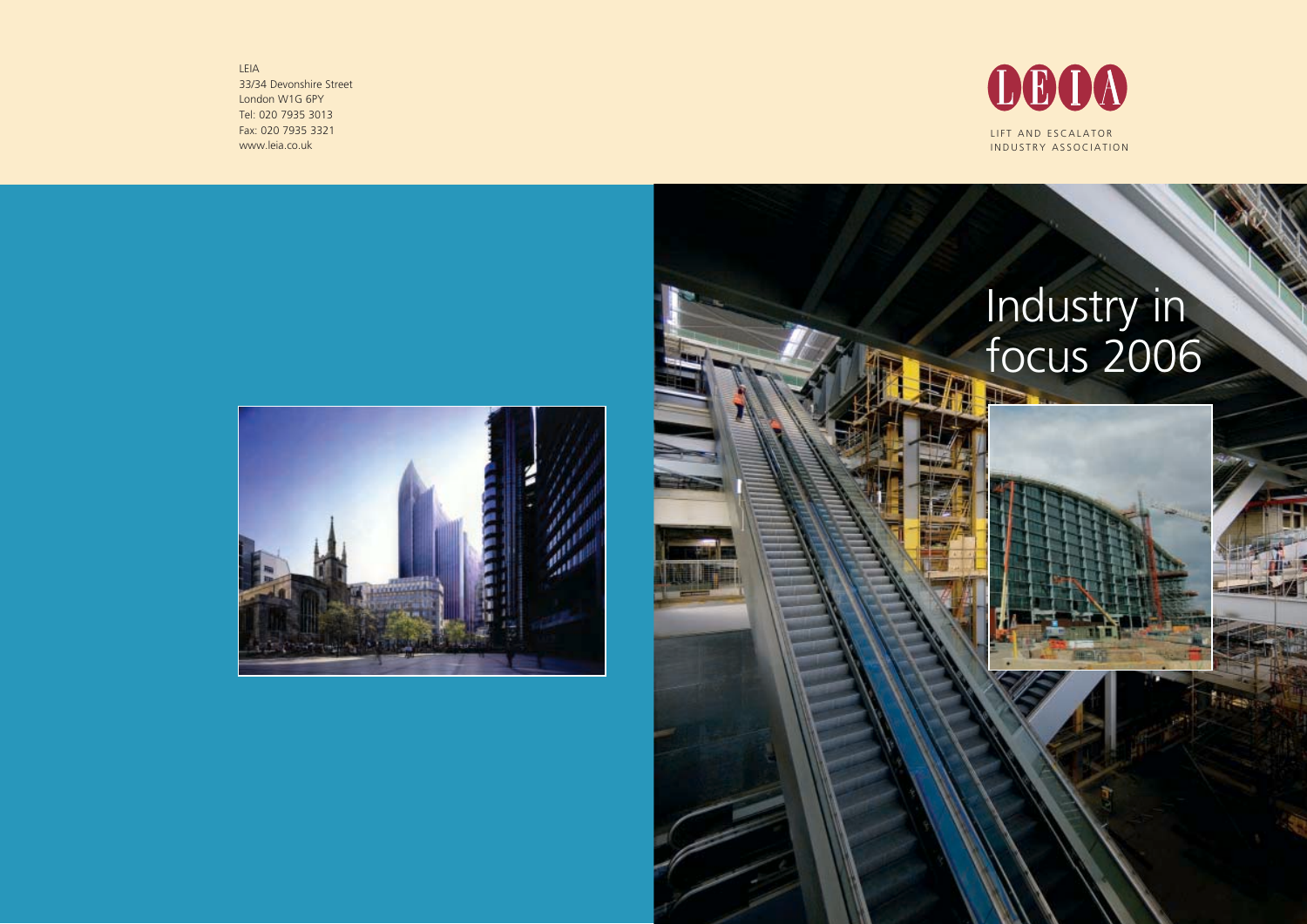LIFT AND ESCALATOR INDUSTRY ASSOCIATION

# Industry in focus 2006

LEIA 33/34 Devonshire Street London W1G 6PY Tel: 020 7935 3013 Fax: 020 7935 3321 www.leia.co.uk





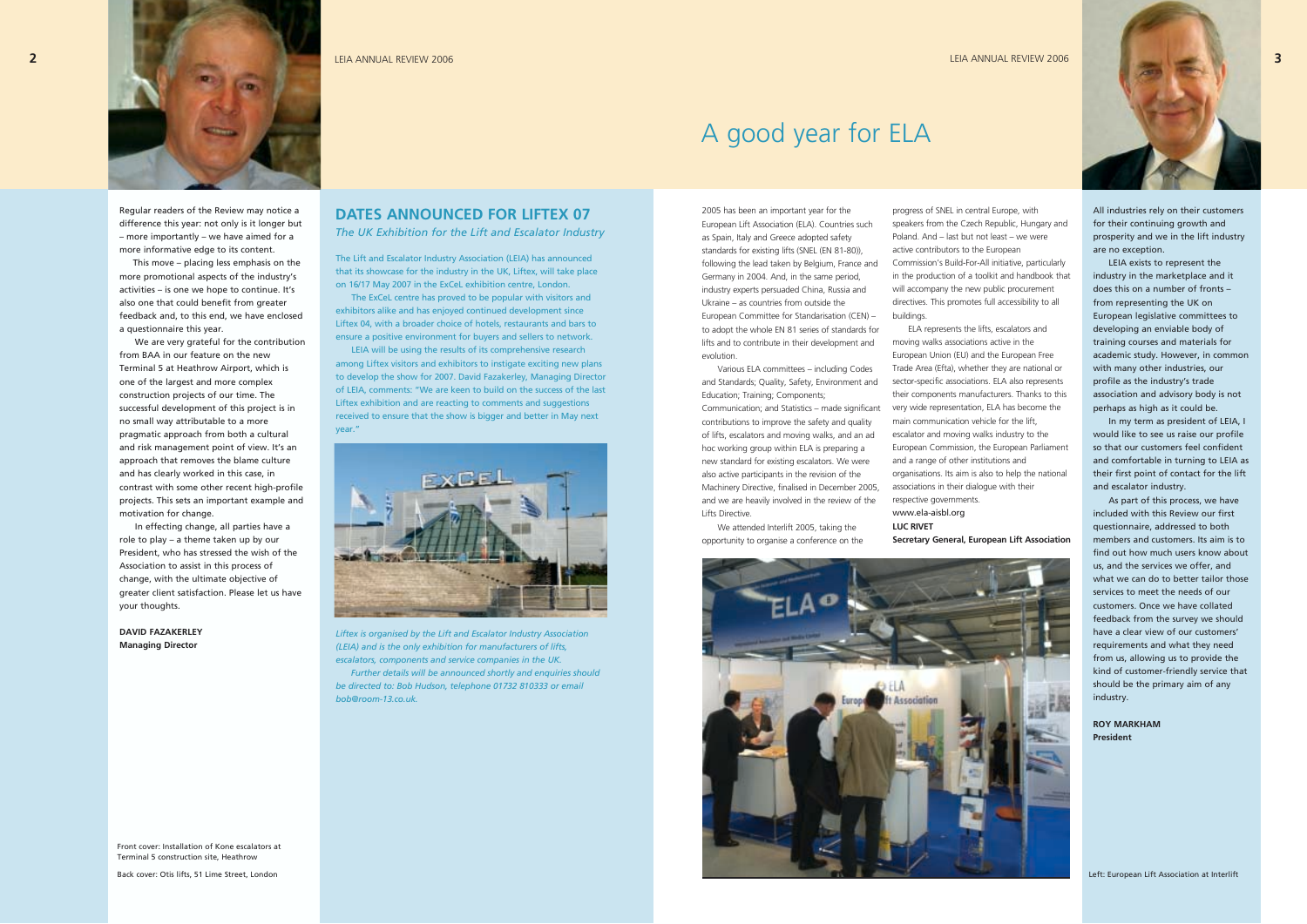Regular readers of the Review may notice a difference this year: not only is it longer but – more importantly – we have aimed for a more informative edge to its content.

This move – placing less emphasis on the more promotional aspects of the industry's activities – is one we hope to continue. It's also one that could benefit from greater feedback and, to this end, we have enclosed a questionnaire this year.

We are very grateful for the contribution from BAA in our feature on the new Terminal 5 at Heathrow Airport, which is one of the largest and more complex construction projects of our time. The successful development of this project is in no small way attributable to a more pragmatic approach from both a cultural and risk management point of view. It's an approach that removes the blame culture and has clearly worked in this case, in contrast with some other recent high-profile projects. This sets an important example and motivation for change.

In effecting change, all parties have a role to play – a theme taken up by our President, who has stressed the wish of the Association to assist in this process of change, with the ultimate objective of greater client satisfaction. Please let us have your thoughts.

**DAVID FAZAKERLEY Managing Director**

### 2005 has been an important year for the European Lift Association (ELA). Countries such as Spain, Italy and Greece adopted safety standards for existing lifts (SNEL (EN 81-80)), following the lead taken by Belgium, France and Germany in 2004. And, in the same period, industry experts persuaded China, Russia and Ukraine – as countries from outside the

European Committee for Standarisation (CEN) – to adopt the whole EN 81 series of standards for lifts and to contribute in their development and evolution.

Various ELA committees – including Codes and Standards; Quality, Safety, Environment and Education; Training; Components;

Communication; and Statistics – made significant contributions to improve the safety and quality of lifts, escalators and moving walks, and an ad hoc working group within ELA is preparing a new standard for existing escalators. We were also active participants in the revision of the Machinery Directive, finalised in December 2005, and we are heavily involved in the review of the Lifts Directive.

We attended Interlift 2005, taking the opportunity to organise a conference on the

# A good year for ELA

The Lift and Escalator Industry Association (LEIA) has announced that its showcase for the industry in the UK, Liftex, will take place on 16/17 May 2007 in the ExCeL exhibition centre, London.

The ExCeL centre has proved to be popular with visitors and exhibitors alike and has enjoyed continued development since Liftex 04, with a broader choice of hotels, restaurants and bars to ensure a positive environment for buyers and sellers to network. LEIA will be using the results of its comprehensive research among Liftex visitors and exhibitors to instigate exciting new plans to develop the show for 2007. David Fazakerley, Managing Director of LEIA, comments: "We are keen to build on the success of the last Liftex exhibition and are reacting to comments and suggestions received to ensure that the show is bigger and better in May next

year."

*Liftex is organised by the Lift and Escalator Industry Association (LEIA) and is the only exhibition for manufacturers of lifts, escalators, components and service companies in the UK.*

*Further details will be announced shortly and enquiries should be directed to: Bob Hudson, telephone 01732 810333 or email*

*bob@room-13.co.uk.*



progress of SNEL in central Europe, with speakers from the Czech Republic, Hungary and Poland. And – last but not least – we were active contributors to the European Commission's Build-For-All initiative, particularly in the production of a toolkit and handbook that will accompany the new public procurement directives. This promotes full accessibility to all buildings.

ELA represents the lifts, escalators and

moving walks associations active in the European Union (EU) and the European Free Trade Area (Efta), whether they are national or sector-specific associations. ELA also represents their components manufacturers. Thanks to this very wide representation, ELA has become the main communication vehicle for the lift, escalator and moving walks industry to the European Commission, the European Parliament and a range of other institutions and organisations. Its aim is also to help the national associations in their dialogue with their respective governments. www.ela-aisbl.org **LUC RIVET**

**Secretary General, European Lift Association**

**DATES ANNOUNCED FOR LIFTEX 07** *The UK Exhibition for the Lift and Escalator Industry* All industries rely on their customers for their continuing growth and prosperity and we in the lift industry are no exception.

LEIA exists to represent the industry in the marketplace and it does this on a number of fronts – from representing the UK on European legislative committees to developing an enviable body of training courses and materials for academic study. However, in common with many other industries, our profile as the industry's trade association and advisory body is not perhaps as high as it could be.

In my term as president of LEIA, I would like to see us raise our profile so that our customers feel confident and comfortable in turning to LEIA as their first point of contact for the lift and escalator industry.

As part of this process, we have included with this Review our first questionnaire, addressed to both members and customers. Its aim is to find out how much users know about us, and the services we offer, and what we can do to better tailor those services to meet the needs of our customers. Once we have collated feedback from the survey we should have a clear view of our customers' requirements and what they need from us, allowing us to provide the kind of customer-friendly service that should be the primary aim of any industry.

#### **ROY MARKHAM President**

Front cover: Installation of Kone escalators at Terminal 5 construction site, Heathrow



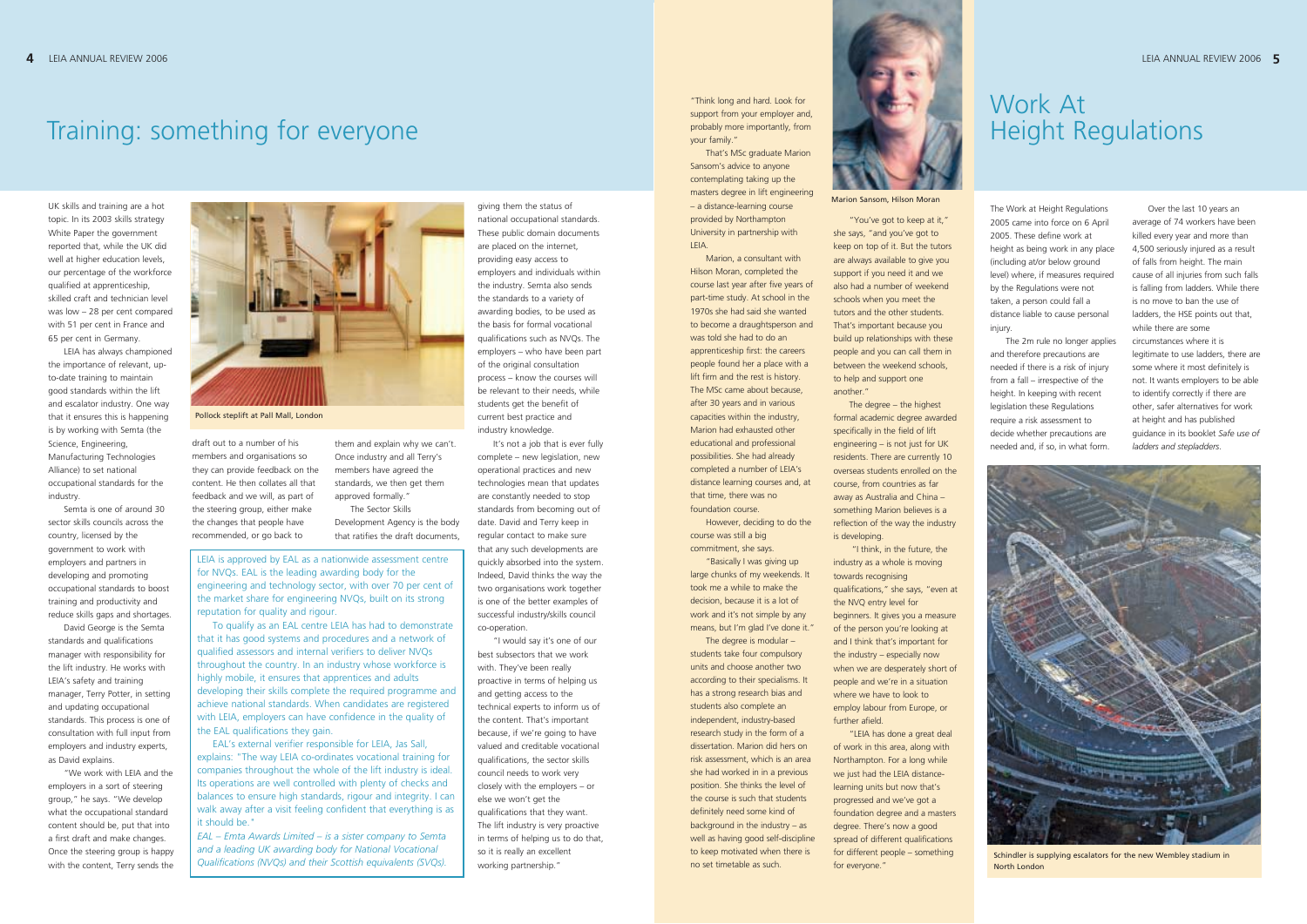The Work at Height Regulations 2005 came into force on 6 April 2005. These define work at height as being work in any place (including at/or below ground level) where, if measures required by the Regulations were not taken, a person could fall a distance liable to cause personal injury.

The 2m rule no longer applies and therefore precautions are needed if there is a risk of injury from a fall – irrespective of the height. In keeping with recent legislation these Regulations require a risk assessment to decide whether precautions are needed and, if so, in what form.

### Work At Height Regulations

Over the last 10 years an average of 74 workers have been killed every year and more than 4,500 seriously injured as a result of falls from height. The main cause of all injuries from such falls is falling from ladders. While there is no move to ban the use of ladders, the HSE points out that, while there are some circumstances where it is legitimate to use ladders, there are some where it most definitely is not. It wants employers to be able to identify correctly if there are other, safer alternatives for work at height and has published guidance in its booklet *Safe use of ladders and stepladders*.

UK skills and training are a hot topic. In its 2003 skills strategy White Paper the government reported that, while the UK did well at higher education levels. our percentage of the workforce qualified at apprenticeship, skilled craft and technician level was low – 28 per cent compared with 51 per cent in France and 65 per cent in Germany.

LEIA has always championed the importance of relevant, upto-date training to maintain good standards within the lift and escalator industry. One way that it ensures this is happening is by working with Semta (the Science, Engineering, Manufacturing Technologies Alliance) to set national occupational standards for the industry.

Semta is one of around 30 sector skills councils across the country, licensed by the government to work with employers and partners in developing and promoting occupational standards to boost training and productivity and reduce skills gaps and shortages.

David George is the Semta standards and qualifications manager with responsibility for the lift industry. He works with LEIA's safety and training manager, Terry Potter, in setting and updating occupational standards. This process is one of consultation with full input from employers and industry experts, as David explains.

"We work with LEIA and the employers in a sort of steering group," he says. "We develop what the occupational standard content should be, put that into a first draft and make changes. Once the steering group is happy with the content, Terry sends the draft out to a number of his members and organisations so they can provide feedback on the content. He then collates all that feedback and we will, as part of the steering group, either make the changes that people have recommended, or go back to

them and explain why we can't. Once industry and all Terry's members have agreed the standards, we then get them approved formally."

The Sector Skills Development Agency is the body that ratifies the draft documents,

giving them the status of national occupational standards. These public domain documents are placed on the internet, providing easy access to employers and individuals within the industry. Semta also sends the standards to a variety of awarding bodies, to be used as the basis for formal vocational qualifications such as NVQs. The employers – who have been part of the original consultation process – know the courses will be relevant to their needs, while students get the benefit of current best practice and industry knowledge.

It's not a job that is ever fully complete – new legislation, new operational practices and new technologies mean that updates are constantly needed to stop standards from becoming out of date. David and Terry keep in regular contact to make sure that any such developments are quickly absorbed into the system. Indeed, David thinks the way the two organisations work together is one of the better examples of successful industry/skills council co-operation.

"I would say it's one of our best subsectors that we work with. They've been really proactive in terms of helping us and getting access to the technical experts to inform us of the content. That's important because, if we're going to have valued and creditable vocational qualifications, the sector skills council needs to work very closely with the employers – or else we won't get the qualifications that they want. The lift industry is very proactive in terms of helping us to do that, so it is really an excellent working partnership."



Schindler is supplying escalators for the new Wembley stadium in **North Londor** 



Marion Sansom, Hilson Moran

"Think long and hard. Look for support from your employer and, probably more importantly, from your family."

That's MSc graduate Marion Sansom's advice to anyone contemplating taking up the masters degree in lift engineering – a distance-learning course provided by Northampton University in partnership with LEIA.

Marion, a consultant with Hilson Moran, completed the course last year after five years of part-time study. At school in the 1970s she had said she wanted to become a draughtsperson and was told she had to do an apprenticeship first: the careers people found her a place with a lift firm and the rest is history. The MSc came about because, after 30 years and in various capacities within the industry, Marion had exhausted other educational and professional possibilities. She had already completed a number of LEIA's distance learning courses and, at that time, there was no foundation course.

However, deciding to do the course was still a big commitment, she says.

"Basically I was giving up large chunks of my weekends. It took me a while to make the decision, because it is a lot of work and it's not simple by any means, but I'm glad I've done it."

The degree is modular – students take four compulsory units and choose another two according to their specialisms. It has a strong research bias and students also complete an independent, industry-based research study in the form of a dissertation. Marion did hers on risk assessment, which is an area she had worked in in a previous position. She thinks the level of the course is such that students definitely need some kind of background in the industry – as well as having good self-discipline to keep motivated when there is no set timetable as such.

"You've got to keep at it," she says, "and you've got to keep on top of it. But the tutors are always available to give you support if you need it and we also had a number of weekend schools when you meet the tutors and the other students. That's important because you build up relationships with these people and you can call them in between the weekend schools, to help and support one another."

The degree – the highest formal academic degree awarded specifically in the field of lift engineering – is not just for UK residents. There are currently 10 overseas students enrolled on the course, from countries as far away as Australia and China – something Marion believes is a reflection of the way the industry is developing.

"I think, in the future, the industry as a whole is moving towards recognising qualifications," she says, "even at the NVQ entry level for beginners. It gives you a measure of the person you're looking at and I think that's important for the industry – especially now when we are desperately short of people and we're in a situation where we have to look to employ labour from Europe, or further afield.

"LEIA has done a great deal of work in this area, along with Northampton. For a long while we just had the LEIA distancelearning units but now that's progressed and we've got a foundation degree and a masters degree. There's now a good spread of different qualifications for different people – something for everyone."

LEIA is approved by EAL as a nationwide assessment centre for NVQs. EAL is the leading awarding body for the engineering and technology sector, with over 70 per cent of the market share for engineering NVQs, built on its strong reputation for quality and rigour.

To qualify as an EAL centre LEIA has had to demonstrate that it has good systems and procedures and a network of qualified assessors and internal verifiers to deliver NVQs throughout the country. In an industry whose workforce is highly mobile, it ensures that apprentices and adults developing their skills complete the required programme and achieve national standards. When candidates are registered with LEIA, employers can have confidence in the quality of the EAL qualifications they gain.

EAL's external verifier responsible for LEIA, Jas Sall, explains: "The way LEIA co-ordinates vocational training for companies throughout the whole of the lift industry is ideal. Its operations are well controlled with plenty of checks and balances to ensure high standards, rigour and integrity. I can walk away after a visit feeling confident that everything is as it should be."

*EAL – Emta Awards Limited – is a sister company to Semta and a leading UK awarding body for National Vocational Qualifications (NVQs) and their Scottish equivalents (SVQs).*

# Training: something for everyone

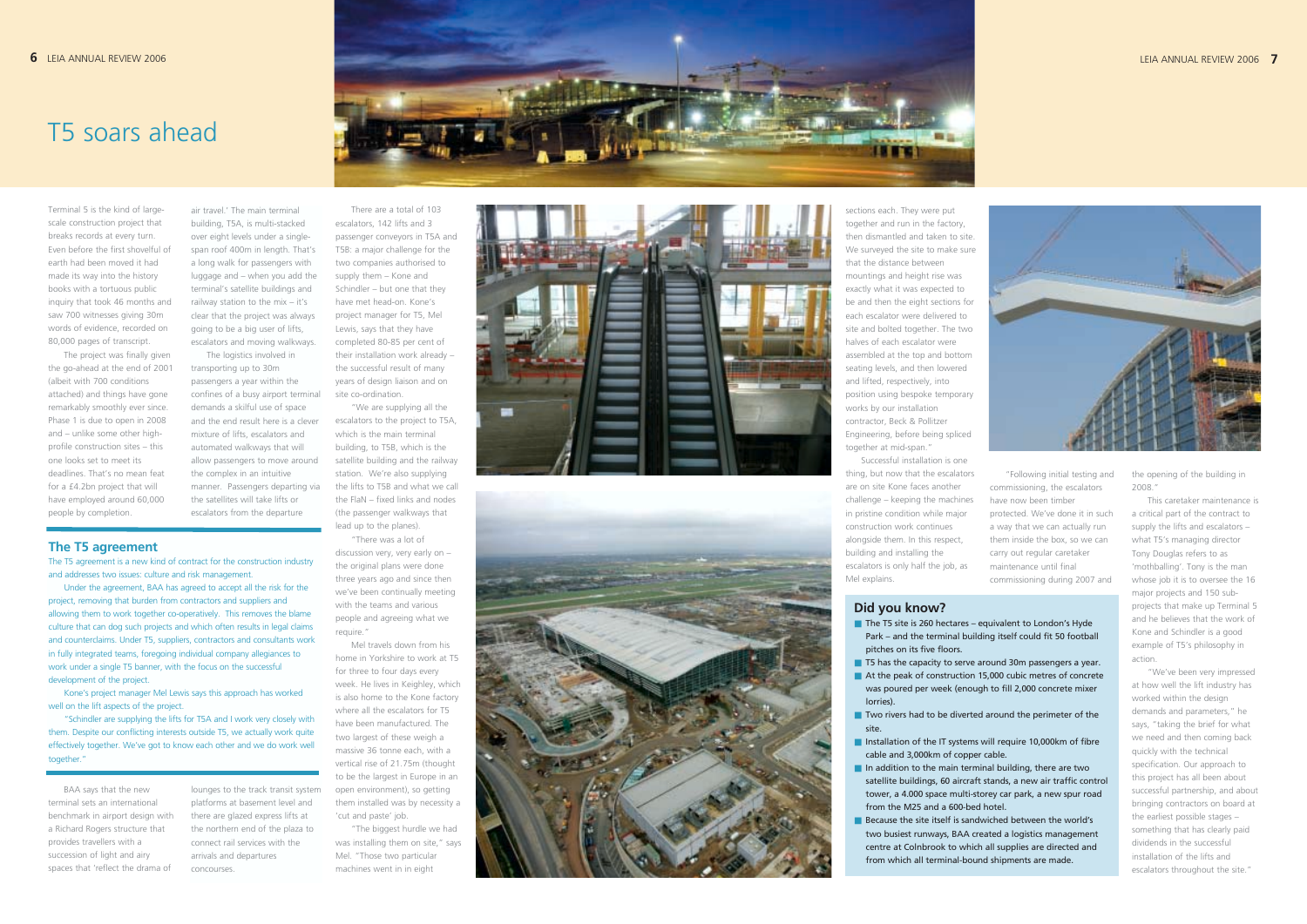Terminal 5 is the kind of largescale construction project that breaks records at every turn. Even before the first shovelful of earth had been moved it had made its way into the history books with a tortuous public inquiry that took 46 months and saw 700 witnesses giving 30m words of evidence, recorded on 80,000 pages of transcript.

The project was finally given the go-ahead at the end of 2001 (albeit with 700 conditions attached) and things have gone remarkably smoothly ever since. Phase 1 is due to open in 2008 and – unlike some other highprofile construction sites – this one looks set to meet its deadlines. That's no mean feat for a £4.2bn project that will have employed around 60,000 people by completion.

BAA says that the new terminal sets an international benchmark in airport design with a Richard Rogers structure that provides travellers with a succession of light and airy spaces that 'reflect the drama of

air travel.' The main terminal building, T5A, is multi-stacked over eight levels under a singlespan roof 400m in length. That's a long walk for passengers with luggage and – when you add the terminal's satellite buildings and railway station to the mix – it's clear that the project was always going to be a big user of lifts, escalators and moving walkways.

The logistics involved in transporting up to 30m passengers a year within the confines of a busy airport terminal demands a skilful use of space and the end result here is a clever mixture of lifts, escalators and automated walkways that will allow passengers to move around the complex in an intuitive manner. Passengers departing via the satellites will take lifts or escalators from the departure

lounges to the track transit system platforms at basement level and there are glazed express lifts at the northern end of the plaza to connect rail services with the arrivals and departures concourses.

sections each. They were put together and run in the factory, then dismantled and taken to site. We surveyed the site to make sure that the distance between mountings and height rise was exactly what it was expected to be and then the eight sections for each escalator were delivered to site and bolted together. The two halves of each escalator were assembled at the top and bottom seating levels, and then lowered and lifted, respectively, into position using bespoke temporary works by our installation contractor, Beck & Pollitzer Engineering, before being spliced together at mid-span."

There are a total of 103 escalators, 142 lifts and 3 passenger conveyors in T5A and T5B: a major challenge for the two companies authorised to supply them – Kone and Schindler – but one that they have met head-on. Kone's project manager for T5, Mel Lewis, says that they have completed 80-85 per cent of their installation work already – the successful result of many years of design liaison and on site co-ordination.

"We are supplying all the escalators to the project to T5A, which is the main terminal building, to T5B, which is the satellite building and the railway station. We're also supplying the lifts to T5B and what we call the FlaN – fixed links and nodes (the passenger walkways that lead up to the planes).

"There was a lot of discussion very, very early on – the original plans were done three years ago and since then we've been continually meeting with the teams and various people and agreeing what we require."

Mel travels down from his home in Yorkshire to work at T5 for three to four days every week. He lives in Keighley, which is also home to the Kone factory where all the escalators for T5 have been manufactured. The two largest of these weigh a massive 36 tonne each, with a vertical rise of 21.75m (thought to be the largest in Europe in an open environment), so getting them installed was by necessity a 'cut and paste' job.

- The T5 site is 260 hectares equivalent to London's Hyde Park – and the terminal building itself could fit 50 football pitches on its five floors.
- 
- was poured per week (enough to fill 2,000 concrete mixer lorries). ■ Two rivers had to be diverted around the perimeter of the
- site. ■ Installation of the IT systems will require 10,000km of fibre cable and 3,000km of copper cable.
- In addition to the main terminal building, there are two tower, a 4.000 space multi-storey car park, a new spur road from the M25 and a 600-bed hotel.
- Because the site itself is sandwiched between the world's two busiest runways, BAA created a logistics management centre at Colnbrook to which all supplies are directed and

from that the escalators<br>
"Following initial testing and<br>
since the faces another<br>
from enger – keeping the machines<br>
have now been timber<br>
titine condition while major<br>
are now been timber<br>
are now been timber<br>
are notic commissioning, the escalators have now been timber protected. We've done it in such a way that we can actually run them inside the box, so we can carry out regular caretaker maintenance until final commissioning during 2007 and

■ T5 has the capacity to serve around 30m passengers a year. ■ At the peak of construction 15,000 cubic metres of concrete

"The biggest hurdle we had was installing them on site," says Mel. "Those two particular machines went in in eight





Successful installation is one thing, but now that the escalators are on site Kone faces another challenge – keeping the machines in pristine condition while major construction work continues alongside them. In this respect, building and installing the escalators is only half the job, as Mel explains.

# T5 soars ahead

### **The T5 agreement**

The T5 agreement is a new kind of contract for the construction industry and addresses two issues: culture and risk management.

Under the agreement, BAA has agreed to accept all the risk for the project, removing that burden from contractors and suppliers and allowing them to work together co-operatively. This removes the blame culture that can dog such projects and which often results in legal claims and counterclaims. Under T5, suppliers, contractors and consultants work in fully integrated teams, foregoing individual company allegiances to work under a single T5 banner, with the focus on the successful development of the project.

Kone's project manager Mel Lewis says this approach has worked well on the lift aspects of the project.

"Schindler are supplying the lifts for T5A and I work very closely with them. Despite our conflicting interests outside T5, we actually work quite effectively together. We've got to know each other and we do work well together."

### **Did you know?**

satellite buildings, 60 aircraft stands, a new air traffic control

the opening of the building in 2008."

This caretaker maintenance is a critical part of the contract to supply the lifts and escalators – what T5's managing director Tony Douglas refers to as 'mothballing'. Tony is the man whose job it is to oversee the 16 major projects and 150 subprojects that make up Terminal 5 and he believes that the work of Kone and Schindler is a good example of T5's philosophy in action.

"We've been very impressed at how well the lift industry has worked within the design demands and parameters," he says, "taking the brief for what we need and then coming back quickly with the technical specification. Our approach to this project has all been about successful partnership, and about bringing contractors on board at the earliest possible stages – something that has clearly paid dividends in the successful installation of the lifts and escalators throughout the site."



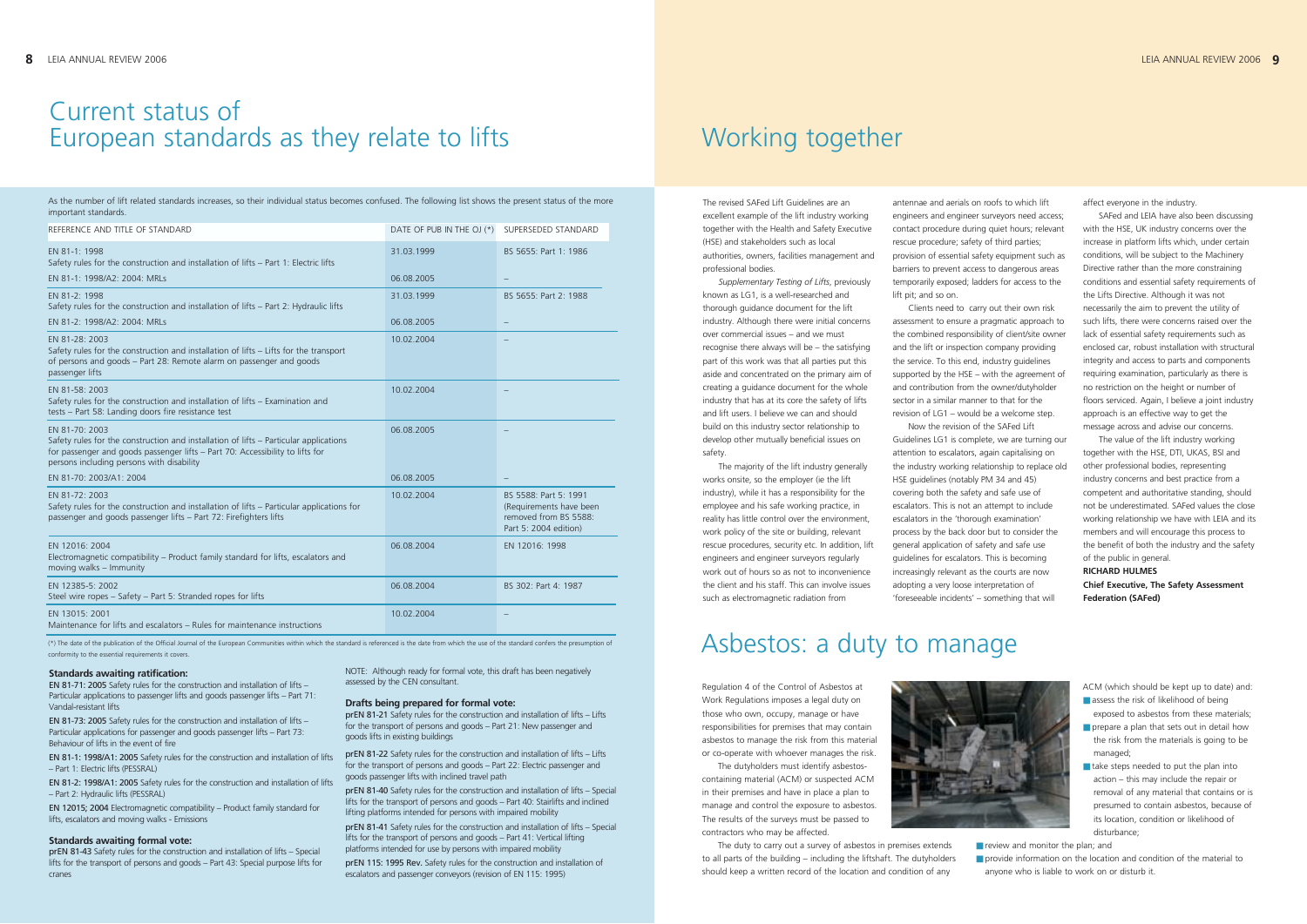Regulation 4 of the Control of Asbestos at Work Regulations imposes a legal duty on those who own, occupy, manage or have responsibilities for premises that may contain asbestos to manage the risk from this material or co-operate with whoever manages the risk.

The dutyholders must identify asbestoscontaining material (ACM) or suspected ACM in their premises and have in place a plan to manage and control the exposure to asbestos. The results of the surveys must be passed to contractors who may be affected.



The duty to carry out a survey of asbestos in premises extends to all parts of the building – including the liftshaft. The dutyholders should keep a written record of the location and condition of any

■ review and monitor the plan: and ■ provide information on the location and condition of the material to anyone who is liable to work on or disturb it.

- ACM (which should be kept up to date) and: ■ assess the risk of likelihood of being
- exposed to asbestos from these materials; ■ prepare a plan that sets out in detail how the risk from the materials is going to be
- managed; ■ take steps needed to put the plan into action – this may include the repair or removal of any material that contains or is presumed to contain asbestos, because of its location, condition or likelihood of disturbance;

### Asbestos: a duty to manage

As the number of lift related standards increases, so their individual status becomes confused. The following list shows the present status of the more important standards.

| REFERENCE AND TITLE OF STANDARD                                                                                                                                                                                                       | DATE OF PUB IN THE OJ (*) | SUPERSEDED STANDARD                                                                                |
|---------------------------------------------------------------------------------------------------------------------------------------------------------------------------------------------------------------------------------------|---------------------------|----------------------------------------------------------------------------------------------------|
| EN 81-1: 1998<br>Safety rules for the construction and installation of lifts - Part 1: Electric lifts                                                                                                                                 | 31.03.1999                | BS 5655: Part 1: 1986                                                                              |
| EN 81-1: 1998/A2: 2004: MRLs                                                                                                                                                                                                          | 06.08.2005                |                                                                                                    |
| EN 81-2: 1998<br>Safety rules for the construction and installation of lifts - Part 2: Hydraulic lifts                                                                                                                                | 31.03.1999                | BS 5655: Part 2: 1988                                                                              |
| EN 81-2: 1998/A2: 2004: MRLs                                                                                                                                                                                                          | 06.08.2005                |                                                                                                    |
| EN 81-28: 2003<br>Safety rules for the construction and installation of lifts - Lifts for the transport<br>of persons and goods - Part 28: Remote alarm on passenger and goods<br>passenger lifts                                     | 10.02.2004                |                                                                                                    |
| EN 81-58: 2003<br>Safety rules for the construction and installation of lifts – Examination and<br>tests - Part 58: Landing doors fire resistance test                                                                                | 10.02.2004                |                                                                                                    |
| EN 81-70: 2003<br>Safety rules for the construction and installation of lifts - Particular applications<br>for passenger and goods passenger lifts - Part 70: Accessibility to lifts for<br>persons including persons with disability | 06.08.2005                |                                                                                                    |
| EN 81-70: 2003/A1: 2004                                                                                                                                                                                                               | 06.08.2005                |                                                                                                    |
| EN 81-72: 2003<br>Safety rules for the construction and installation of lifts - Particular applications for<br>passenger and goods passenger lifts - Part 72: Firefighters lifts                                                      | 10.02.2004                | BS 5588: Part 5: 1991<br>(Requirements have been<br>removed from BS 5588:<br>Part 5: 2004 edition) |
| EN 12016: 2004<br>Electromagnetic compatibility - Product family standard for lifts, escalators and<br>moving walks - Immunity                                                                                                        | 06.08.2004                | EN 12016: 1998                                                                                     |
| EN 12385-5: 2002<br>Steel wire ropes - Safety - Part 5: Stranded ropes for lifts                                                                                                                                                      | 06.08.2004                | BS 302: Part 4: 1987                                                                               |
| EN 13015: 2001<br>Maintenance for lifts and escalators – Rules for maintenance instructions                                                                                                                                           | 10.02.2004                |                                                                                                    |

(\*) The date of the publication of the Official Journal of the European Communities within which the standard is referenced is the date from which the use of the standard confers the presumption of conformity to the essential requirements it covers.

The revised SAFed Lift Guidelines are an excellent example of the lift industry working together with the Health and Safety Executive (HSE) and stakeholders such as local authorities, owners, facilities management and professional bodies.

*Supplementary Testing of Lifts*, previously known as LG1, is a well-researched and thorough guidance document for the lift industry. Although there were initial concerns over commercial issues – and we must recognise there always will be – the satisfying part of this work was that all parties put this aside and concentrated on the primary aim of creating a guidance document for the whole industry that has at its core the safety of lifts and lift users. I believe we can and should build on this industry sector relationship to develop other mutually beneficial issues on safety.

The majority of the lift industry generally works onsite, so the employer (ie the lift industry), while it has a responsibility for the employee and his safe working practice, in reality has little control over the environment, work policy of the site or building, relevant rescue procedures, security etc. In addition, lift engineers and engineer surveyors regularly work out of hours so as not to inconvenience the client and his staff. This can involve issues such as electromagnetic radiation from

# Working together

antennae and aerials on roofs to which lift engineers and engineer surveyors need access; contact procedure during quiet hours; relevant rescue procedure; safety of third parties; provision of essential safety equipment such as barriers to prevent access to dangerous areas temporarily exposed; ladders for access to the lift pit; and so on.

Clients need to carry out their own risk assessment to ensure a pragmatic approach to the combined responsibility of client/site owner and the lift or inspection company providing the service. To this end, industry guidelines supported by the HSE – with the agreement of and contribution from the owner/dutyholder sector in a similar manner to that for the revision of LG1 – would be a welcome step. Now the revision of the SAFed Lift Guidelines LG1 is complete, we are turning our attention to escalators, again capitalising on the industry working relationship to replace old HSE guidelines (notably PM 34 and 45) covering both the safety and safe use of escalators. This is not an attempt to include escalators in the 'thorough examination' process by the back door but to consider the general application of safety and safe use guidelines for escalators. This is becoming increasingly relevant as the courts are now adopting a very loose interpretation of 'foreseeable incidents' – something that will

affect everyone in the industry.

SAFed and LEIA have also been discussing with the HSE, UK industry concerns over the increase in platform lifts which, under certain conditions, will be subject to the Machinery Directive rather than the more constraining conditions and essential safety requirements of the Lifts Directive. Although it was not necessarily the aim to prevent the utility of such lifts, there were concerns raised over the lack of essential safety requirements such as enclosed car, robust installation with structural integrity and access to parts and components requiring examination, particularly as there is no restriction on the height or number of floors serviced. Again, I believe a joint industry approach is an effective way to get the message across and advise our concerns.

The value of the lift industry working together with the HSE, DTI, UKAS, BSI and other professional bodies, representing industry concerns and best practice from a competent and authoritative standing, should not be underestimated. SAFed values the close working relationship we have with LEIA and its members and will encourage this process to the benefit of both the industry and the safety of the public in general.

#### **RICHARD HULMES**

**Chief Executive, The Safety Assessment Federation (SAFed)**

#### **Standards awaiting ratification:**

EN 81-71: 2005 Safety rules for the construction and installation of lifts – Particular applications to passenger lifts and goods passenger lifts – Part 71: Vandal-resistant lifts

EN 81-73: 2005 Safety rules for the construction and installation of lifts – Particular applications for passenger and goods passenger lifts – Part 73: Behaviour of lifts in the event of fire

EN 81-1: 1998/A1: 2005 Safety rules for the construction and installation of lifts – Part 1: Electric lifts (PESSRAL)

EN 81-2: 1998/A1: 2005 Safety rules for the construction and installation of lifts – Part 2: Hydraulic lifts (PESSRAL)

EN 12015; 2004 Electromagnetic compatibility – Product family standard for lifts, escalators and moving walks - Emissions

#### **Standards awaiting formal vote:**

prEN 81-43 Safety rules for the construction and installation of lifts – Special lifts for the transport of persons and goods – Part 43: Special purpose lifts for cranes

NOTE: Although ready for formal vote, this draft has been negatively assessed by the CEN consultant.

#### **Drafts being prepared for formal vote:**

prEN 81-21 Safety rules for the construction and installation of lifts – Lifts for the transport of persons and goods – Part 21: New passenger and goods lifts in existing buildings

prEN 81-22 Safety rules for the construction and installation of lifts – Lifts for the transport of persons and goods – Part 22: Electric passenger and goods passenger lifts with inclined travel path

prEN 81-40 Safety rules for the construction and installation of lifts – Special lifts for the transport of persons and goods – Part 40: Stairlifts and inclined lifting platforms intended for persons with impaired mobility

prEN 81-41 Safety rules for the construction and installation of lifts – Special lifts for the transport of persons and goods – Part 41: Vertical lifting platforms intended for use by persons with impaired mobility

prEN 115: 1995 Rev. Safety rules for the construction and installation of escalators and passenger conveyors (revision of EN 115: 1995)

### Current status of European standards as they relate to lifts